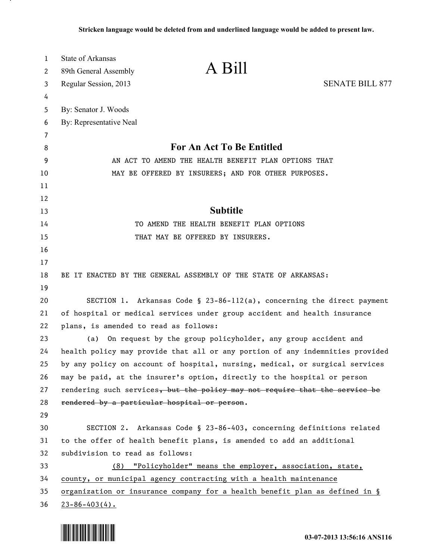| 1                     | <b>State of Arkansas</b>                                                           |  |
|-----------------------|------------------------------------------------------------------------------------|--|
| $\mathbf{2}^{\prime}$ | A Bill<br>89th General Assembly                                                    |  |
| 3                     | <b>SENATE BILL 877</b><br>Regular Session, 2013                                    |  |
| 4                     |                                                                                    |  |
| 5                     | By: Senator J. Woods                                                               |  |
| 6                     | By: Representative Neal                                                            |  |
| 7                     |                                                                                    |  |
| 8                     | For An Act To Be Entitled                                                          |  |
| 9                     | AN ACT TO AMEND THE HEALTH BENEFIT PLAN OPTIONS THAT                               |  |
| 10                    | MAY BE OFFERED BY INSURERS; AND FOR OTHER PURPOSES.                                |  |
| 11                    |                                                                                    |  |
| 12                    |                                                                                    |  |
| 13                    | <b>Subtitle</b>                                                                    |  |
| 14                    | TO AMEND THE HEALTH BENEFIT PLAN OPTIONS                                           |  |
| 15                    | THAT MAY BE OFFERED BY INSURERS.                                                   |  |
| 16                    |                                                                                    |  |
| 17                    |                                                                                    |  |
| 18                    | BE IT ENACTED BY THE GENERAL ASSEMBLY OF THE STATE OF ARKANSAS:                    |  |
| 19                    |                                                                                    |  |
| 20                    | SECTION 1. Arkansas Code § 23-86-112(a), concerning the direct payment             |  |
| 21                    | of hospital or medical services under group accident and health insurance          |  |
| 22                    | plans, is amended to read as follows:                                              |  |
| 23                    | On request by the group policyholder, any group accident and<br>(a)                |  |
| 24                    | health policy may provide that all or any portion of any indemnities provided      |  |
| 25                    | by any policy on account of hospital, nursing, medical, or surgical services       |  |
| 26                    | may be paid, at the insurer's option, directly to the hospital or person           |  |
| 27                    | rendering such services, but the policy may not require that the service be        |  |
| 28                    | rendered by a particular hospital or person.                                       |  |
| 29                    |                                                                                    |  |
| 30                    | SECTION 2. Arkansas Code § 23-86-403, concerning definitions related               |  |
| 31                    | to the offer of health benefit plans, is amended to add an additional              |  |
| 32                    | subdivision to read as follows:                                                    |  |
| 33                    | (8) "Policyholder" means the employer, association, state,                         |  |
| 34                    | county, or municipal agency contracting with a health maintenance                  |  |
| 35                    | <u>organization or insurance company for a health benefit plan as defined in §</u> |  |
| 36                    | $23 - 86 - 403(4)$ .                                                               |  |



.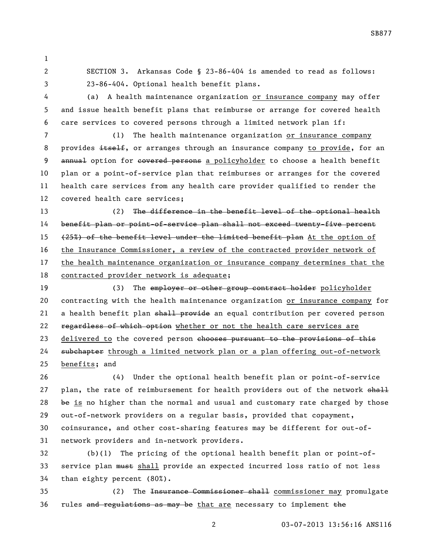SECTION 3. Arkansas Code § 23-86-404 is amended to read as follows: 23-86-404. Optional health benefit plans.

4 (a) A health maintenance organization or insurance company may offer and issue health benefit plans that reimburse or arrange for covered health care services to covered persons through a limited network plan if:

 (1) The health maintenance organization or insurance company 8 provides itself, or arranges through an insurance company to provide, for an 9 annual option for covered persons a policyholder to choose a health benefit plan or a point-of-service plan that reimburses or arranges for the covered health care services from any health care provider qualified to render the covered health care services;

13 (2) The difference in the benefit level of the optional health benefit plan or point-of-service plan shall not exceed twenty-five percent 15 (25%) of the benefit level under the limited benefit plan At the option of the Insurance Commissioner, a review of the contracted provider network of the health maintenance organization or insurance company determines that the contracted provider network is adequate;

19 (3) The employer or other group contract holder policyholder contracting with the health maintenance organization or insurance company for 21 a health benefit plan shall provide an equal contribution per covered person 22 regardless of which option whether or not the health care services are 23 delivered to the covered person chooses pursuant to the provisions of this 24 subchapter through a limited network plan or a plan offering out-of-network benefits; and

 (4) Under the optional health benefit plan or point-of-service 27 plan, the rate of reimbursement for health providers out of the network shall be is no higher than the normal and usual and customary rate charged by those out-of-network providers on a regular basis, provided that copayment, coinsurance, and other cost-sharing features may be different for out-of-network providers and in-network providers.

 (b)(1) The pricing of the optional health benefit plan or point-of-33 service plan must shall provide an expected incurred loss ratio of not less than eighty percent (80%).

 (2) The Insurance Commissioner shall commissioner may promulgate rules and regulations as may be that are necessary to implement the